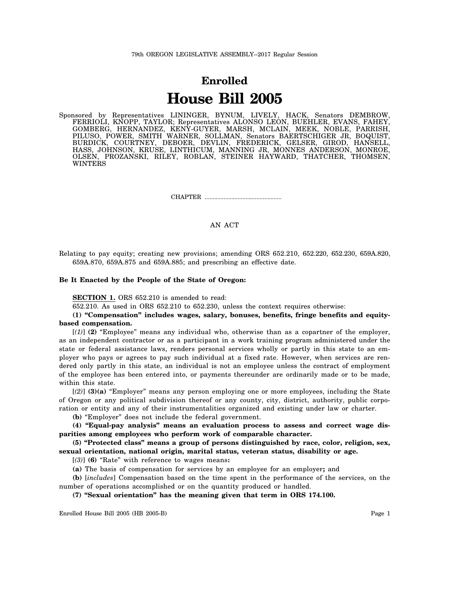# **Enrolled House Bill 2005**

Sponsored by Representatives LININGER, BYNUM, LIVELY, HACK, Senators DEMBROW, FERRIOLI, KNOPP, TAYLOR; Representatives ALONSO LEON, BUEHLER, EVANS, FAHEY, GOMBERG, HERNANDEZ, KENY-GUYER, MARSH, MCLAIN, MEEK, NOBLE, PARRISH, PILUSO, POWER, SMITH WARNER, SOLLMAN, Senators BAERTSCHIGER JR, BOQUIST, BURDICK, COURTNEY, DEBOER, DEVLIN, FREDERICK, GELSER, GIROD, HANSELL, HASS, JOHNSON, KRUSE, LINTHICUM, MANNING JR, MONNES ANDERSON, MONROE, OLSEN, PROZANSKI, RILEY, ROBLAN, STEINER HAYWARD, THATCHER, THOMSEN, WINTERS

CHAPTER .................................................

AN ACT

Relating to pay equity; creating new provisions; amending ORS 652.210, 652.220, 652.230, 659A.820, 659A.870, 659A.875 and 659A.885; and prescribing an effective date.

## **Be It Enacted by the People of the State of Oregon:**

**SECTION 1.** ORS 652.210 is amended to read:

652.210. As used in ORS 652.210 to 652.230, unless the context requires otherwise:

# **(1) "Compensation" includes wages, salary, bonuses, benefits, fringe benefits and equitybased compensation.**

[*(1)*] **(2)** "Employee" means any individual who, otherwise than as a copartner of the employer, as an independent contractor or as a participant in a work training program administered under the state or federal assistance laws, renders personal services wholly or partly in this state to an employer who pays or agrees to pay such individual at a fixed rate. However, when services are rendered only partly in this state, an individual is not an employee unless the contract of employment of the employee has been entered into, or payments thereunder are ordinarily made or to be made, within this state.

[*(2)*] **(3)(a)** "Employer" means any person employing one or more employees, including the State of Oregon or any political subdivision thereof or any county, city, district, authority, public corporation or entity and any of their instrumentalities organized and existing under law or charter.

**(b)** "Employer" does not include the federal government.

**(4) "Equal-pay analysis" means an evaluation process to assess and correct wage disparities among employees who perform work of comparable character.**

**(5) "Protected class" means a group of persons distinguished by race, color, religion, sex, sexual orientation, national origin, marital status, veteran status, disability or age.**

[*(3)*] **(6)** "Rate" with reference to wages means**:**

**(a)** The basis of compensation for services by an employee for an employer**;** and

**(b)** [*includes*] Compensation based on the time spent in the performance of the services, on the number of operations accomplished or on the quantity produced or handled.

**(7) "Sexual orientation" has the meaning given that term in ORS 174.100.**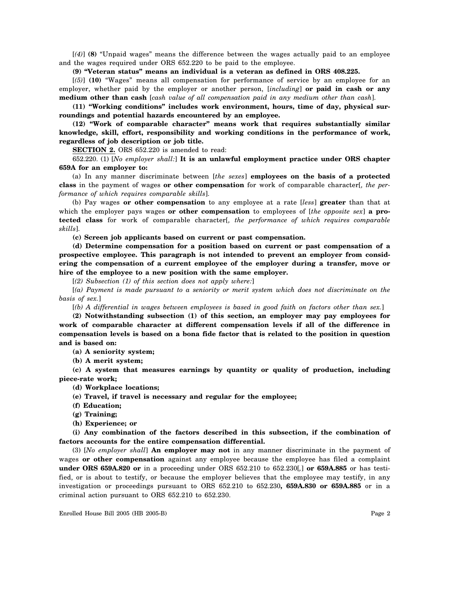[*(4)*] **(8)** "Unpaid wages" means the difference between the wages actually paid to an employee and the wages required under ORS 652.220 to be paid to the employee.

#### **(9) "Veteran status" means an individual is a veteran as defined in ORS 408.225.**

[*(5)*] **(10)** "Wages" means all compensation for performance of service by an employee for an employer, whether paid by the employer or another person, [*including*] **or paid in cash or any medium other than cash** [*cash value of all compensation paid in any medium other than cash*].

**(11) "Working conditions" includes work environment, hours, time of day, physical surroundings and potential hazards encountered by an employee.**

**(12) "Work of comparable character" means work that requires substantially similar knowledge, skill, effort, responsibility and working conditions in the performance of work, regardless of job description or job title.**

**SECTION 2.** ORS 652.220 is amended to read:

652.220. (1) [*No employer shall:*] **It is an unlawful employment practice under ORS chapter 659A for an employer to:**

(a) In any manner discriminate between [*the sexes*] **employees on the basis of a protected class** in the payment of wages **or other compensation** for work of comparable character[*, the performance of which requires comparable skills*].

(b) Pay wages **or other compensation** to any employee at a rate [*less*] **greater** than that at which the employer pays wages **or other compensation** to employees of [*the opposite sex*] **a protected class** for work of comparable character[*, the performance of which requires comparable skills*].

**(c) Screen job applicants based on current or past compensation.**

**(d) Determine compensation for a position based on current or past compensation of a prospective employee. This paragraph is not intended to prevent an employer from considering the compensation of a current employee of the employer during a transfer, move or hire of the employee to a new position with the same employer.**

[*(2) Subsection (1) of this section does not apply where:*]

[*(a) Payment is made pursuant to a seniority or merit system which does not discriminate on the basis of sex.*]

[*(b) A differential in wages between employees is based in good faith on factors other than sex.*]

**(2) Notwithstanding subsection (1) of this section, an employer may pay employees for work of comparable character at different compensation levels if all of the difference in compensation levels is based on a bona fide factor that is related to the position in question and is based on:**

**(a) A seniority system;**

**(b) A merit system;**

**(c) A system that measures earnings by quantity or quality of production, including piece-rate work;**

**(d) Workplace locations;**

**(e) Travel, if travel is necessary and regular for the employee;**

- **(f) Education;**
- **(g) Training;**
- **(h) Experience; or**

**(i) Any combination of the factors described in this subsection, if the combination of factors accounts for the entire compensation differential.**

(3) [*No employer shall*] **An employer may not** in any manner discriminate in the payment of wages **or other compensation** against any employee because the employee has filed a complaint **under ORS 659A.820 or** in a proceeding under ORS 652.210 to 652.230[*,*] **or 659A.885** or has testified, or is about to testify, or because the employer believes that the employee may testify, in any investigation or proceedings pursuant to ORS 652.210 to 652.230**, 659A.830 or 659A.885** or in a criminal action pursuant to ORS 652.210 to 652.230.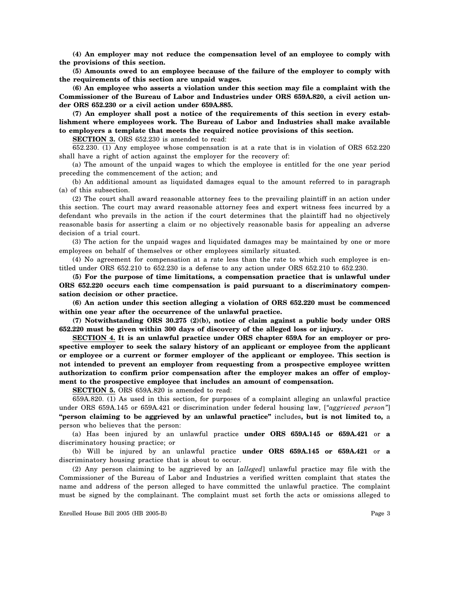**(4) An employer may not reduce the compensation level of an employee to comply with the provisions of this section.**

**(5) Amounts owed to an employee because of the failure of the employer to comply with the requirements of this section are unpaid wages.**

**(6) An employee who asserts a violation under this section may file a complaint with the Commissioner of the Bureau of Labor and Industries under ORS 659A.820, a civil action under ORS 652.230 or a civil action under 659A.885.**

**(7) An employer shall post a notice of the requirements of this section in every establishment where employees work. The Bureau of Labor and Industries shall make available to employers a template that meets the required notice provisions of this section.**

**SECTION 3.** ORS 652.230 is amended to read:

652.230. (1) Any employee whose compensation is at a rate that is in violation of ORS 652.220 shall have a right of action against the employer for the recovery of:

(a) The amount of the unpaid wages to which the employee is entitled for the one year period preceding the commencement of the action; and

(b) An additional amount as liquidated damages equal to the amount referred to in paragraph (a) of this subsection.

(2) The court shall award reasonable attorney fees to the prevailing plaintiff in an action under this section. The court may award reasonable attorney fees and expert witness fees incurred by a defendant who prevails in the action if the court determines that the plaintiff had no objectively reasonable basis for asserting a claim or no objectively reasonable basis for appealing an adverse decision of a trial court.

(3) The action for the unpaid wages and liquidated damages may be maintained by one or more employees on behalf of themselves or other employees similarly situated.

(4) No agreement for compensation at a rate less than the rate to which such employee is entitled under ORS 652.210 to 652.230 is a defense to any action under ORS 652.210 to 652.230.

**(5) For the purpose of time limitations, a compensation practice that is unlawful under ORS 652.220 occurs each time compensation is paid pursuant to a discriminatory compensation decision or other practice.**

**(6) An action under this section alleging a violation of ORS 652.220 must be commenced within one year after the occurrence of the unlawful practice.**

**(7) Notwithstanding ORS 30.275 (2)(b), notice of claim against a public body under ORS 652.220 must be given within 300 days of discovery of the alleged loss or injury.**

**SECTION 4. It is an unlawful practice under ORS chapter 659A for an employer or prospective employer to seek the salary history of an applicant or employee from the applicant or employee or a current or former employer of the applicant or employee. This section is not intended to prevent an employer from requesting from a prospective employee written authorization to confirm prior compensation after the employer makes an offer of employment to the prospective employee that includes an amount of compensation.**

**SECTION 5.** ORS 659A.820 is amended to read:

659A.820. (1) As used in this section, for purposes of a complaint alleging an unlawful practice under ORS 659A.145 or 659A.421 or discrimination under federal housing law, [*"aggrieved person"*] **"person claiming to be aggrieved by an unlawful practice"** includes**, but is not limited to,** a person who believes that the person:

(a) Has been injured by an unlawful practice **under ORS 659A.145 or 659A.421** or **a** discriminatory housing practice; or

(b) Will be injured by an unlawful practice **under ORS 659A.145 or 659A.421** or **a** discriminatory housing practice that is about to occur.

(2) Any person claiming to be aggrieved by an [*alleged*] unlawful practice may file with the Commissioner of the Bureau of Labor and Industries a verified written complaint that states the name and address of the person alleged to have committed the unlawful practice. The complaint must be signed by the complainant. The complaint must set forth the acts or omissions alleged to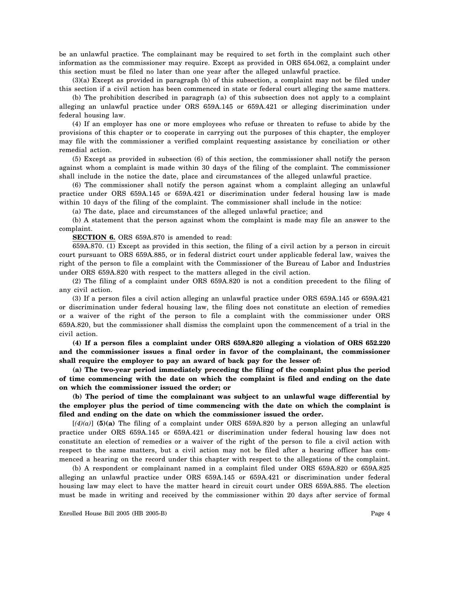be an unlawful practice. The complainant may be required to set forth in the complaint such other information as the commissioner may require. Except as provided in ORS 654.062, a complaint under this section must be filed no later than one year after the alleged unlawful practice.

(3)(a) Except as provided in paragraph (b) of this subsection, a complaint may not be filed under this section if a civil action has been commenced in state or federal court alleging the same matters.

(b) The prohibition described in paragraph (a) of this subsection does not apply to a complaint alleging an unlawful practice under ORS 659A.145 or 659A.421 or alleging discrimination under federal housing law.

(4) If an employer has one or more employees who refuse or threaten to refuse to abide by the provisions of this chapter or to cooperate in carrying out the purposes of this chapter, the employer may file with the commissioner a verified complaint requesting assistance by conciliation or other remedial action.

(5) Except as provided in subsection (6) of this section, the commissioner shall notify the person against whom a complaint is made within 30 days of the filing of the complaint. The commissioner shall include in the notice the date, place and circumstances of the alleged unlawful practice.

(6) The commissioner shall notify the person against whom a complaint alleging an unlawful practice under ORS 659A.145 or 659A.421 or discrimination under federal housing law is made within 10 days of the filing of the complaint. The commissioner shall include in the notice:

(a) The date, place and circumstances of the alleged unlawful practice; and

(b) A statement that the person against whom the complaint is made may file an answer to the complaint.

**SECTION 6.** ORS 659A.870 is amended to read:

659A.870. (1) Except as provided in this section, the filing of a civil action by a person in circuit court pursuant to ORS 659A.885, or in federal district court under applicable federal law, waives the right of the person to file a complaint with the Commissioner of the Bureau of Labor and Industries under ORS 659A.820 with respect to the matters alleged in the civil action.

(2) The filing of a complaint under ORS 659A.820 is not a condition precedent to the filing of any civil action.

(3) If a person files a civil action alleging an unlawful practice under ORS 659A.145 or 659A.421 or discrimination under federal housing law, the filing does not constitute an election of remedies or a waiver of the right of the person to file a complaint with the commissioner under ORS 659A.820, but the commissioner shall dismiss the complaint upon the commencement of a trial in the civil action.

**(4) If a person files a complaint under ORS 659A.820 alleging a violation of ORS 652.220 and the commissioner issues a final order in favor of the complainant, the commissioner shall require the employer to pay an award of back pay for the lesser of:**

**(a) The two-year period immediately preceding the filing of the complaint plus the period of time commencing with the date on which the complaint is filed and ending on the date on which the commissioner issued the order; or**

**(b) The period of time the complainant was subject to an unlawful wage differential by the employer plus the period of time commencing with the date on which the complaint is filed and ending on the date on which the commissioner issued the order.**

 $[(4)(a)]$  **(5)(a)** The filing of a complaint under ORS 659A.820 by a person alleging an unlawful practice under ORS 659A.145 or 659A.421 or discrimination under federal housing law does not constitute an election of remedies or a waiver of the right of the person to file a civil action with respect to the same matters, but a civil action may not be filed after a hearing officer has commenced a hearing on the record under this chapter with respect to the allegations of the complaint.

(b) A respondent or complainant named in a complaint filed under ORS 659A.820 or 659A.825 alleging an unlawful practice under ORS 659A.145 or 659A.421 or discrimination under federal housing law may elect to have the matter heard in circuit court under ORS 659A.885. The election must be made in writing and received by the commissioner within 20 days after service of formal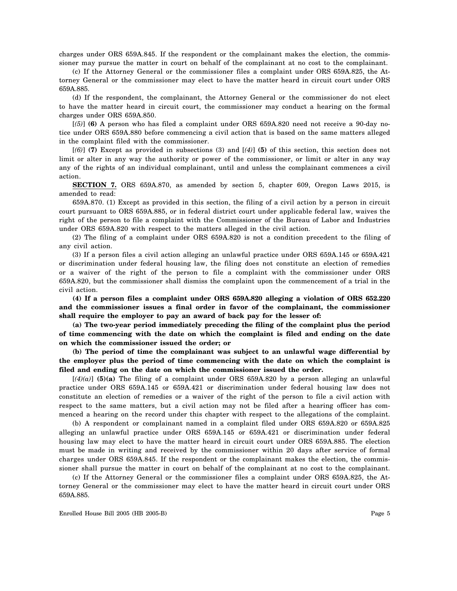charges under ORS 659A.845. If the respondent or the complainant makes the election, the commissioner may pursue the matter in court on behalf of the complainant at no cost to the complainant.

(c) If the Attorney General or the commissioner files a complaint under ORS 659A.825, the Attorney General or the commissioner may elect to have the matter heard in circuit court under ORS 659A.885.

(d) If the respondent, the complainant, the Attorney General or the commissioner do not elect to have the matter heard in circuit court, the commissioner may conduct a hearing on the formal charges under ORS 659A.850.

[*(5)*] **(6)** A person who has filed a complaint under ORS 659A.820 need not receive a 90-day notice under ORS 659A.880 before commencing a civil action that is based on the same matters alleged in the complaint filed with the commissioner.

[*(6)*] **(7)** Except as provided in subsections (3) and [*(4)*] **(5)** of this section, this section does not limit or alter in any way the authority or power of the commissioner, or limit or alter in any way any of the rights of an individual complainant, until and unless the complainant commences a civil action.

**SECTION 7.** ORS 659A.870, as amended by section 5, chapter 609, Oregon Laws 2015, is amended to read:

659A.870. (1) Except as provided in this section, the filing of a civil action by a person in circuit court pursuant to ORS 659A.885, or in federal district court under applicable federal law, waives the right of the person to file a complaint with the Commissioner of the Bureau of Labor and Industries under ORS 659A.820 with respect to the matters alleged in the civil action.

(2) The filing of a complaint under ORS 659A.820 is not a condition precedent to the filing of any civil action.

(3) If a person files a civil action alleging an unlawful practice under ORS 659A.145 or 659A.421 or discrimination under federal housing law, the filing does not constitute an election of remedies or a waiver of the right of the person to file a complaint with the commissioner under ORS 659A.820, but the commissioner shall dismiss the complaint upon the commencement of a trial in the civil action.

**(4) If a person files a complaint under ORS 659A.820 alleging a violation of ORS 652.220 and the commissioner issues a final order in favor of the complainant, the commissioner shall require the employer to pay an award of back pay for the lesser of:**

**(a) The two-year period immediately preceding the filing of the complaint plus the period of time commencing with the date on which the complaint is filed and ending on the date on which the commissioner issued the order; or**

**(b) The period of time the complainant was subject to an unlawful wage differential by the employer plus the period of time commencing with the date on which the complaint is filed and ending on the date on which the commissioner issued the order.**

 $[(4)(a)]$  (5)(a) The filing of a complaint under ORS 659A.820 by a person alleging an unlawful practice under ORS 659A.145 or 659A.421 or discrimination under federal housing law does not constitute an election of remedies or a waiver of the right of the person to file a civil action with respect to the same matters, but a civil action may not be filed after a hearing officer has commenced a hearing on the record under this chapter with respect to the allegations of the complaint.

(b) A respondent or complainant named in a complaint filed under ORS 659A.820 or 659A.825 alleging an unlawful practice under ORS 659A.145 or 659A.421 or discrimination under federal housing law may elect to have the matter heard in circuit court under ORS 659A.885. The election must be made in writing and received by the commissioner within 20 days after service of formal charges under ORS 659A.845. If the respondent or the complainant makes the election, the commissioner shall pursue the matter in court on behalf of the complainant at no cost to the complainant.

(c) If the Attorney General or the commissioner files a complaint under ORS 659A.825, the Attorney General or the commissioner may elect to have the matter heard in circuit court under ORS 659A.885.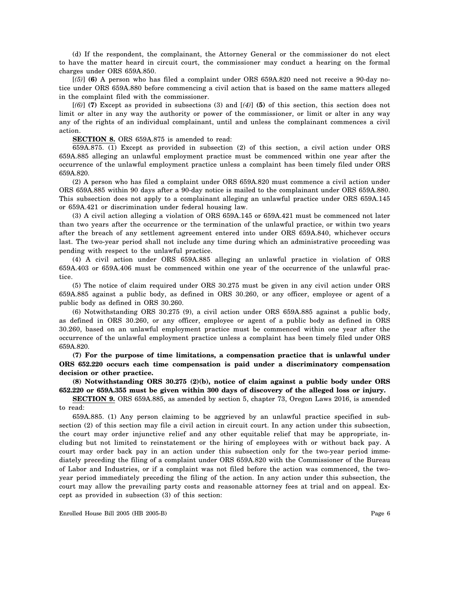(d) If the respondent, the complainant, the Attorney General or the commissioner do not elect to have the matter heard in circuit court, the commissioner may conduct a hearing on the formal charges under ORS 659A.850.

[*(5)*] **(6)** A person who has filed a complaint under ORS 659A.820 need not receive a 90-day notice under ORS 659A.880 before commencing a civil action that is based on the same matters alleged in the complaint filed with the commissioner.

[*(6)*] **(7)** Except as provided in subsections (3) and [*(4)*] **(5)** of this section, this section does not limit or alter in any way the authority or power of the commissioner, or limit or alter in any way any of the rights of an individual complainant, until and unless the complainant commences a civil action.

**SECTION 8.** ORS 659A.875 is amended to read:

659A.875. (1) Except as provided in subsection (2) of this section, a civil action under ORS 659A.885 alleging an unlawful employment practice must be commenced within one year after the occurrence of the unlawful employment practice unless a complaint has been timely filed under ORS 659A.820.

(2) A person who has filed a complaint under ORS 659A.820 must commence a civil action under ORS 659A.885 within 90 days after a 90-day notice is mailed to the complainant under ORS 659A.880. This subsection does not apply to a complainant alleging an unlawful practice under ORS 659A.145 or 659A.421 or discrimination under federal housing law.

(3) A civil action alleging a violation of ORS 659A.145 or 659A.421 must be commenced not later than two years after the occurrence or the termination of the unlawful practice, or within two years after the breach of any settlement agreement entered into under ORS 659A.840, whichever occurs last. The two-year period shall not include any time during which an administrative proceeding was pending with respect to the unlawful practice.

(4) A civil action under ORS 659A.885 alleging an unlawful practice in violation of ORS 659A.403 or 659A.406 must be commenced within one year of the occurrence of the unlawful practice.

(5) The notice of claim required under ORS 30.275 must be given in any civil action under ORS 659A.885 against a public body, as defined in ORS 30.260, or any officer, employee or agent of a public body as defined in ORS 30.260.

(6) Notwithstanding ORS 30.275 (9), a civil action under ORS 659A.885 against a public body, as defined in ORS 30.260, or any officer, employee or agent of a public body as defined in ORS 30.260, based on an unlawful employment practice must be commenced within one year after the occurrence of the unlawful employment practice unless a complaint has been timely filed under ORS 659A.820.

**(7) For the purpose of time limitations, a compensation practice that is unlawful under ORS 652.220 occurs each time compensation is paid under a discriminatory compensation decision or other practice.**

**(8) Notwithstanding ORS 30.275 (2)(b), notice of claim against a public body under ORS 652.220 or 659A.355 must be given within 300 days of discovery of the alleged loss or injury.**

**SECTION 9.** ORS 659A.885, as amended by section 5, chapter 73, Oregon Laws 2016, is amended to read:

659A.885. (1) Any person claiming to be aggrieved by an unlawful practice specified in subsection (2) of this section may file a civil action in circuit court. In any action under this subsection, the court may order injunctive relief and any other equitable relief that may be appropriate, including but not limited to reinstatement or the hiring of employees with or without back pay. A court may order back pay in an action under this subsection only for the two-year period immediately preceding the filing of a complaint under ORS 659A.820 with the Commissioner of the Bureau of Labor and Industries, or if a complaint was not filed before the action was commenced, the twoyear period immediately preceding the filing of the action. In any action under this subsection, the court may allow the prevailing party costs and reasonable attorney fees at trial and on appeal. Except as provided in subsection (3) of this section: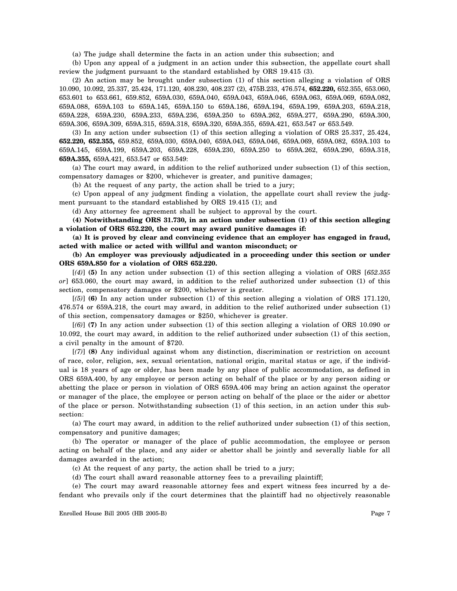(a) The judge shall determine the facts in an action under this subsection; and

(b) Upon any appeal of a judgment in an action under this subsection, the appellate court shall review the judgment pursuant to the standard established by ORS 19.415 (3).

(2) An action may be brought under subsection (1) of this section alleging a violation of ORS 10.090, 10.092, 25.337, 25.424, 171.120, 408.230, 408.237 (2), 475B.233, 476.574, **652.220,** 652.355, 653.060, 653.601 to 653.661, 659.852, 659A.030, 659A.040, 659A.043, 659A.046, 659A.063, 659A.069, 659A.082, 659A.088, 659A.103 to 659A.145, 659A.150 to 659A.186, 659A.194, 659A.199, 659A.203, 659A.218, 659A.228, 659A.230, 659A.233, 659A.236, 659A.250 to 659A.262, 659A.277, 659A.290, 659A.300, 659A.306, 659A.309, 659A.315, 659A.318, 659A.320, 659A.355, 659A.421, 653.547 or 653.549.

(3) In any action under subsection (1) of this section alleging a violation of ORS 25.337, 25.424, **652.220, 652.355,** 659.852, 659A.030, 659A.040, 659A.043, 659A.046, 659A.069, 659A.082, 659A.103 to 659A.145, 659A.199, 659A.203, 659A.228, 659A.230, 659A.250 to 659A.262, 659A.290, 659A.318, **659A.355,** 659A.421, 653.547 or 653.549:

(a) The court may award, in addition to the relief authorized under subsection (1) of this section, compensatory damages or \$200, whichever is greater, and punitive damages;

(b) At the request of any party, the action shall be tried to a jury;

(c) Upon appeal of any judgment finding a violation, the appellate court shall review the judgment pursuant to the standard established by ORS 19.415 (1); and

(d) Any attorney fee agreement shall be subject to approval by the court.

**(4) Notwithstanding ORS 31.730, in an action under subsection (1) of this section alleging a violation of ORS 652.220, the court may award punitive damages if:**

**(a) It is proved by clear and convincing evidence that an employer has engaged in fraud, acted with malice or acted with willful and wanton misconduct; or**

**(b) An employer was previously adjudicated in a proceeding under this section or under ORS 659A.850 for a violation of ORS 652.220.**

[*(4)*] **(5)** In any action under subsection (1) of this section alleging a violation of ORS [*652.355 or*] 653.060, the court may award, in addition to the relief authorized under subsection (1) of this section, compensatory damages or \$200, whichever is greater.

[*(5)*] **(6)** In any action under subsection (1) of this section alleging a violation of ORS 171.120, 476.574 or 659A.218, the court may award, in addition to the relief authorized under subsection (1) of this section, compensatory damages or \$250, whichever is greater.

[*(6)*] **(7)** In any action under subsection (1) of this section alleging a violation of ORS 10.090 or 10.092, the court may award, in addition to the relief authorized under subsection (1) of this section, a civil penalty in the amount of \$720.

[*(7)*] **(8)** Any individual against whom any distinction, discrimination or restriction on account of race, color, religion, sex, sexual orientation, national origin, marital status or age, if the individual is 18 years of age or older, has been made by any place of public accommodation, as defined in ORS 659A.400, by any employee or person acting on behalf of the place or by any person aiding or abetting the place or person in violation of ORS 659A.406 may bring an action against the operator or manager of the place, the employee or person acting on behalf of the place or the aider or abettor of the place or person. Notwithstanding subsection (1) of this section, in an action under this subsection:

(a) The court may award, in addition to the relief authorized under subsection (1) of this section, compensatory and punitive damages;

(b) The operator or manager of the place of public accommodation, the employee or person acting on behalf of the place, and any aider or abettor shall be jointly and severally liable for all damages awarded in the action;

(c) At the request of any party, the action shall be tried to a jury;

(d) The court shall award reasonable attorney fees to a prevailing plaintiff;

(e) The court may award reasonable attorney fees and expert witness fees incurred by a defendant who prevails only if the court determines that the plaintiff had no objectively reasonable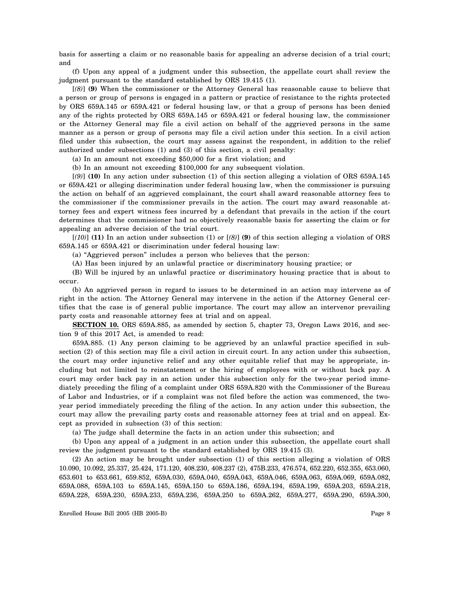basis for asserting a claim or no reasonable basis for appealing an adverse decision of a trial court; and

(f) Upon any appeal of a judgment under this subsection, the appellate court shall review the judgment pursuant to the standard established by ORS 19.415 (1).

[*(8)*] **(9)** When the commissioner or the Attorney General has reasonable cause to believe that a person or group of persons is engaged in a pattern or practice of resistance to the rights protected by ORS 659A.145 or 659A.421 or federal housing law, or that a group of persons has been denied any of the rights protected by ORS 659A.145 or 659A.421 or federal housing law, the commissioner or the Attorney General may file a civil action on behalf of the aggrieved persons in the same manner as a person or group of persons may file a civil action under this section. In a civil action filed under this subsection, the court may assess against the respondent, in addition to the relief authorized under subsections (1) and (3) of this section, a civil penalty:

(a) In an amount not exceeding \$50,000 for a first violation; and

(b) In an amount not exceeding \$100,000 for any subsequent violation.

[*(9)*] **(10)** In any action under subsection (1) of this section alleging a violation of ORS 659A.145 or 659A.421 or alleging discrimination under federal housing law, when the commissioner is pursuing the action on behalf of an aggrieved complainant, the court shall award reasonable attorney fees to the commissioner if the commissioner prevails in the action. The court may award reasonable attorney fees and expert witness fees incurred by a defendant that prevails in the action if the court determines that the commissioner had no objectively reasonable basis for asserting the claim or for appealing an adverse decision of the trial court.

[*(10)*] **(11)** In an action under subsection (1) or [*(8)*] **(9)** of this section alleging a violation of ORS 659A.145 or 659A.421 or discrimination under federal housing law:

(a) "Aggrieved person" includes a person who believes that the person:

(A) Has been injured by an unlawful practice or discriminatory housing practice; or

(B) Will be injured by an unlawful practice or discriminatory housing practice that is about to occur.

(b) An aggrieved person in regard to issues to be determined in an action may intervene as of right in the action. The Attorney General may intervene in the action if the Attorney General certifies that the case is of general public importance. The court may allow an intervenor prevailing party costs and reasonable attorney fees at trial and on appeal.

**SECTION 10.** ORS 659A.885, as amended by section 5, chapter 73, Oregon Laws 2016, and section 9 of this 2017 Act, is amended to read:

659A.885. (1) Any person claiming to be aggrieved by an unlawful practice specified in subsection (2) of this section may file a civil action in circuit court. In any action under this subsection, the court may order injunctive relief and any other equitable relief that may be appropriate, including but not limited to reinstatement or the hiring of employees with or without back pay. A court may order back pay in an action under this subsection only for the two-year period immediately preceding the filing of a complaint under ORS 659A.820 with the Commissioner of the Bureau of Labor and Industries, or if a complaint was not filed before the action was commenced, the twoyear period immediately preceding the filing of the action. In any action under this subsection, the court may allow the prevailing party costs and reasonable attorney fees at trial and on appeal. Except as provided in subsection (3) of this section:

(a) The judge shall determine the facts in an action under this subsection; and

(b) Upon any appeal of a judgment in an action under this subsection, the appellate court shall review the judgment pursuant to the standard established by ORS 19.415 (3).

(2) An action may be brought under subsection (1) of this section alleging a violation of ORS 10.090, 10.092, 25.337, 25.424, 171.120, 408.230, 408.237 (2), 475B.233, 476.574, 652.220, 652.355, 653.060, 653.601 to 653.661, 659.852, 659A.030, 659A.040, 659A.043, 659A.046, 659A.063, 659A.069, 659A.082, 659A.088, 659A.103 to 659A.145, 659A.150 to 659A.186, 659A.194, 659A.199, 659A.203, 659A.218, 659A.228, 659A.230, 659A.233, 659A.236, 659A.250 to 659A.262, 659A.277, 659A.290, 659A.300,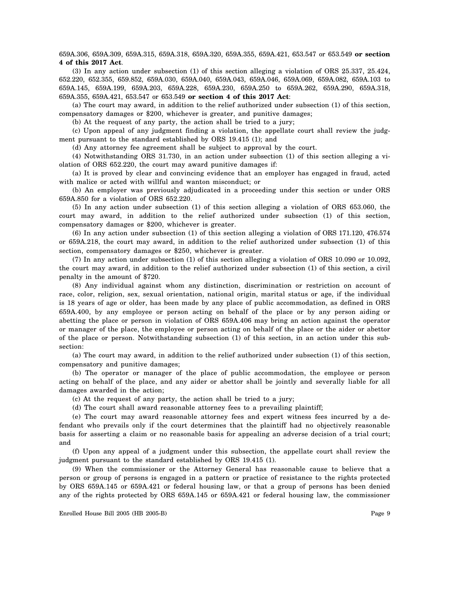## 659A.306, 659A.309, 659A.315, 659A.318, 659A.320, 659A.355, 659A.421, 653.547 or 653.549 **or section 4 of this 2017 Act**.

(3) In any action under subsection (1) of this section alleging a violation of ORS 25.337, 25.424, 652.220, 652.355, 659.852, 659A.030, 659A.040, 659A.043, 659A.046, 659A.069, 659A.082, 659A.103 to 659A.145, 659A.199, 659A.203, 659A.228, 659A.230, 659A.250 to 659A.262, 659A.290, 659A.318, 659A.355, 659A.421, 653.547 or 653.549 **or section 4 of this 2017 Act**:

(a) The court may award, in addition to the relief authorized under subsection (1) of this section, compensatory damages or \$200, whichever is greater, and punitive damages;

(b) At the request of any party, the action shall be tried to a jury;

(c) Upon appeal of any judgment finding a violation, the appellate court shall review the judgment pursuant to the standard established by ORS 19.415 (1); and

(d) Any attorney fee agreement shall be subject to approval by the court.

(4) Notwithstanding ORS 31.730, in an action under subsection (1) of this section alleging a violation of ORS 652.220, the court may award punitive damages if:

(a) It is proved by clear and convincing evidence that an employer has engaged in fraud, acted with malice or acted with willful and wanton misconduct; or

(b) An employer was previously adjudicated in a proceeding under this section or under ORS 659A.850 for a violation of ORS 652.220.

(5) In any action under subsection (1) of this section alleging a violation of ORS 653.060, the court may award, in addition to the relief authorized under subsection (1) of this section, compensatory damages or \$200, whichever is greater.

(6) In any action under subsection (1) of this section alleging a violation of ORS 171.120, 476.574 or 659A.218, the court may award, in addition to the relief authorized under subsection (1) of this section, compensatory damages or \$250, whichever is greater.

(7) In any action under subsection (1) of this section alleging a violation of ORS 10.090 or 10.092, the court may award, in addition to the relief authorized under subsection (1) of this section, a civil penalty in the amount of \$720.

(8) Any individual against whom any distinction, discrimination or restriction on account of race, color, religion, sex, sexual orientation, national origin, marital status or age, if the individual is 18 years of age or older, has been made by any place of public accommodation, as defined in ORS 659A.400, by any employee or person acting on behalf of the place or by any person aiding or abetting the place or person in violation of ORS 659A.406 may bring an action against the operator or manager of the place, the employee or person acting on behalf of the place or the aider or abettor of the place or person. Notwithstanding subsection (1) of this section, in an action under this subsection:

(a) The court may award, in addition to the relief authorized under subsection (1) of this section, compensatory and punitive damages;

(b) The operator or manager of the place of public accommodation, the employee or person acting on behalf of the place, and any aider or abettor shall be jointly and severally liable for all damages awarded in the action;

(c) At the request of any party, the action shall be tried to a jury;

(d) The court shall award reasonable attorney fees to a prevailing plaintiff;

(e) The court may award reasonable attorney fees and expert witness fees incurred by a defendant who prevails only if the court determines that the plaintiff had no objectively reasonable basis for asserting a claim or no reasonable basis for appealing an adverse decision of a trial court; and

(f) Upon any appeal of a judgment under this subsection, the appellate court shall review the judgment pursuant to the standard established by ORS 19.415 (1).

(9) When the commissioner or the Attorney General has reasonable cause to believe that a person or group of persons is engaged in a pattern or practice of resistance to the rights protected by ORS 659A.145 or 659A.421 or federal housing law, or that a group of persons has been denied any of the rights protected by ORS 659A.145 or 659A.421 or federal housing law, the commissioner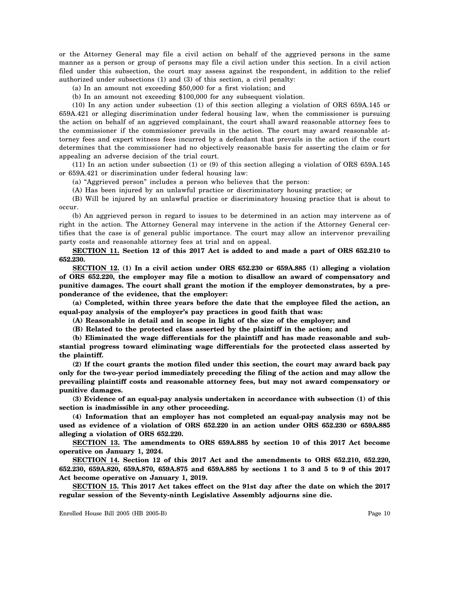or the Attorney General may file a civil action on behalf of the aggrieved persons in the same manner as a person or group of persons may file a civil action under this section. In a civil action filed under this subsection, the court may assess against the respondent, in addition to the relief authorized under subsections (1) and (3) of this section, a civil penalty:

(a) In an amount not exceeding \$50,000 for a first violation; and

(b) In an amount not exceeding \$100,000 for any subsequent violation.

(10) In any action under subsection (1) of this section alleging a violation of ORS 659A.145 or 659A.421 or alleging discrimination under federal housing law, when the commissioner is pursuing the action on behalf of an aggrieved complainant, the court shall award reasonable attorney fees to the commissioner if the commissioner prevails in the action. The court may award reasonable attorney fees and expert witness fees incurred by a defendant that prevails in the action if the court determines that the commissioner had no objectively reasonable basis for asserting the claim or for appealing an adverse decision of the trial court.

(11) In an action under subsection (1) or (9) of this section alleging a violation of ORS 659A.145 or 659A.421 or discrimination under federal housing law:

(a) "Aggrieved person" includes a person who believes that the person:

(A) Has been injured by an unlawful practice or discriminatory housing practice; or

(B) Will be injured by an unlawful practice or discriminatory housing practice that is about to occur.

(b) An aggrieved person in regard to issues to be determined in an action may intervene as of right in the action. The Attorney General may intervene in the action if the Attorney General certifies that the case is of general public importance. The court may allow an intervenor prevailing party costs and reasonable attorney fees at trial and on appeal.

**SECTION 11. Section 12 of this 2017 Act is added to and made a part of ORS 652.210 to 652.230.**

**SECTION 12. (1) In a civil action under ORS 652.230 or 659A.885 (1) alleging a violation of ORS 652.220, the employer may file a motion to disallow an award of compensatory and punitive damages. The court shall grant the motion if the employer demonstrates, by a preponderance of the evidence, that the employer:**

**(a) Completed, within three years before the date that the employee filed the action, an equal-pay analysis of the employer's pay practices in good faith that was:**

**(A) Reasonable in detail and in scope in light of the size of the employer; and**

**(B) Related to the protected class asserted by the plaintiff in the action; and**

**(b) Eliminated the wage differentials for the plaintiff and has made reasonable and substantial progress toward eliminating wage differentials for the protected class asserted by the plaintiff.**

**(2) If the court grants the motion filed under this section, the court may award back pay only for the two-year period immediately preceding the filing of the action and may allow the prevailing plaintiff costs and reasonable attorney fees, but may not award compensatory or punitive damages.**

**(3) Evidence of an equal-pay analysis undertaken in accordance with subsection (1) of this section is inadmissible in any other proceeding.**

**(4) Information that an employer has not completed an equal-pay analysis may not be used as evidence of a violation of ORS 652.220 in an action under ORS 652.230 or 659A.885 alleging a violation of ORS 652.220.**

**SECTION 13. The amendments to ORS 659A.885 by section 10 of this 2017 Act become operative on January 1, 2024.**

**SECTION 14. Section 12 of this 2017 Act and the amendments to ORS 652.210, 652.220, 652.230, 659A.820, 659A.870, 659A.875 and 659A.885 by sections 1 to 3 and 5 to 9 of this 2017 Act become operative on January 1, 2019.**

**SECTION 15. This 2017 Act takes effect on the 91st day after the date on which the 2017 regular session of the Seventy-ninth Legislative Assembly adjourns sine die.**